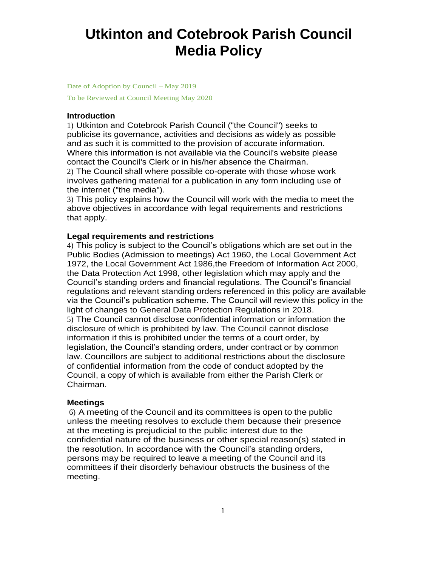# **Utkinton and Cotebrook Parish Council Media Policy**

Date of Adoption by Council – May 2019

To be Reviewed at Council Meeting May 2020

### **Introduction**

1) Utkinton and Cotebrook Parish Council ("the Council") seeks to publicise its governance, activities and decisions as widely as possible and as such it is committed to the provision of accurate information. Where this information is not available via the Council's website please contact the Council's Clerk or in his/her absence the Chairman.

2) The Council shall where possible co-operate with those whose work involves gathering material for a publication in any form including use of the internet ("the media").

3) This policy explains how the Council will work with the media to meet the above objectives in accordance with legal requirements and restrictions that apply.

## **Legal requirements and restrictions**

4) This policy is subject to the Council's obligations which are set out in the Public Bodies (Admission to meetings) Act 1960, the Local Government Act 1972, the Local Government Act 1986,the Freedom of Information Act 2000, the Data Protection Act 1998, other legislation which may apply and the Council's standing orders and financial regulations. The Council's financial regulations and relevant standing orders referenced in this policy are available via the Council's publication scheme. The Council will review this policy in the light of changes to General Data Protection Regulations in 2018. 5) The Council cannot disclose confidential information or information the disclosure of which is prohibited by law. The Council cannot disclose information if this is prohibited under the terms of a court order, by legislation, the Council's standing orders, under contract or by common law. Councillors are subject to additional restrictions about the disclosure of confidential information from the code of conduct adopted by the Council, a copy of which is available from either the Parish Clerk or Chairman.

#### **Meetings**

6) A meeting of the Council and its committees is open to the public unless the meeting resolves to exclude them because their presence at the meeting is prejudicial to the public interest due to the confidential nature of the business or other special reason(s) stated in the resolution. In accordance with the Council's standing orders, persons may be required to leave a meeting of the Council and its committees if their disorderly behaviour obstructs the business of the meeting.